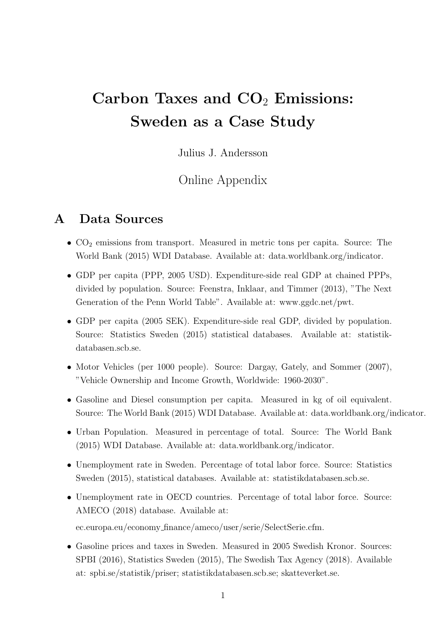# Carbon Taxes and  $CO<sub>2</sub>$  Emissions: Sweden as a Case Study

Julius J. Andersson

## Online Appendix

#### A Data Sources

- $\bullet$  CO<sub>2</sub> emissions from transport. Measured in metric tons per capita. Source: The World Bank (2015) WDI Database. Available at: data.worldbank.org/indicator.
- GDP per capita (PPP, 2005 USD). Expenditure-side real GDP at chained PPPs, divided by population. Source: Feenstra, Inklaar, and Timmer (2013), "The Next Generation of the Penn World Table". Available at: www.ggdc.net/pwt.
- GDP per capita (2005 SEK). Expenditure-side real GDP, divided by population. Source: Statistics Sweden (2015) statistical databases. Available at: statistikdatabasen.scb.se.
- Motor Vehicles (per 1000 people). Source: Dargay, Gately, and Sommer (2007), "Vehicle Ownership and Income Growth, Worldwide: 1960-2030".
- Gasoline and Diesel consumption per capita. Measured in kg of oil equivalent. Source: The World Bank (2015) WDI Database. Available at: data.worldbank.org/indicator.
- Urban Population. Measured in percentage of total. Source: The World Bank (2015) WDI Database. Available at: data.worldbank.org/indicator.
- Unemployment rate in Sweden. Percentage of total labor force. Source: Statistics Sweden (2015), statistical databases. Available at: statistikdatabasen.scb.se.
- Unemployment rate in OECD countries. Percentage of total labor force. Source: AMECO (2018) database. Available at:

ec.europa.eu/economy finance/ameco/user/serie/SelectSerie.cfm.

• Gasoline prices and taxes in Sweden. Measured in 2005 Swedish Kronor. Sources: SPBI (2016), Statistics Sweden (2015), The Swedish Tax Agency (2018). Available at: spbi.se/statistik/priser; statistikdatabasen.scb.se; skatteverket.se.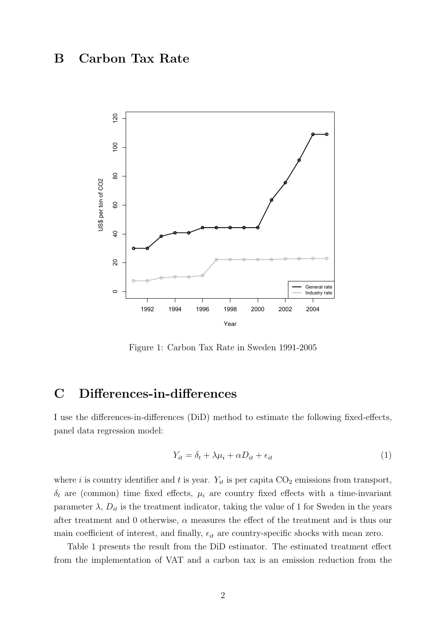## B Carbon Tax Rate



Figure 1: Carbon Tax Rate in Sweden 1991-2005

### C Differences-in-differences

I use the differences-in-differences (DiD) method to estimate the following fixed-effects, panel data regression model:

$$
Y_{it} = \delta_t + \lambda \mu_i + \alpha D_{it} + \epsilon_{it} \tag{1}
$$

where i is country identifier and t is year.  $Y_{it}$  is per capita  $CO_2$  emissions from transport,  $\delta_t$  are (common) time fixed effects,  $\mu_i$  are country fixed effects with a time-invariant parameter  $\lambda$ ,  $D_{it}$  is the treatment indicator, taking the value of 1 for Sweden in the years after treatment and 0 otherwise,  $\alpha$  measures the effect of the treatment and is thus our main coefficient of interest, and finally,  $\epsilon_{it}$  are country-specific shocks with mean zero.

Table 1 presents the result from the DiD estimator. The estimated treatment effect from the implementation of VAT and a carbon tax is an emission reduction from the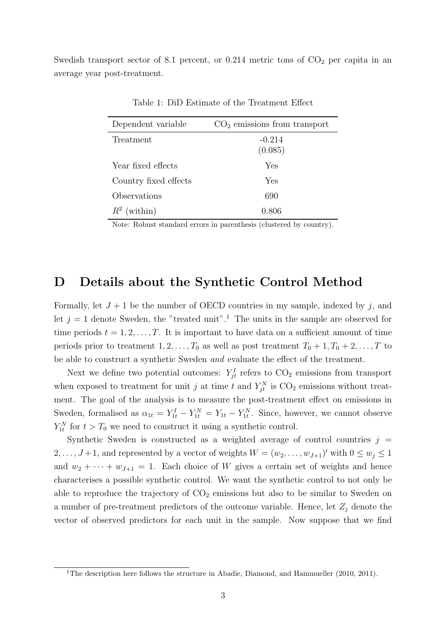Swedish transport sector of 8.1 percent, or 0.214 metric tons of  $CO<sub>2</sub>$  per capita in an average year post-treatment.

| Dependent variable    | $CO2$ emissions from transport |
|-----------------------|--------------------------------|
| Treatment             | $-0.214$<br>(0.085)            |
| Year fixed effects    | ${\rm Yes}$                    |
| Country fixed effects | ${\rm Yes}$                    |
| Observations          | 690                            |
| (within)<br>$R^2$     | 0.806                          |

Table 1: DiD Estimate of the Treatment Effect

Note: Robust standard errors in parenthesis (clustered by country).

#### D Details about the Synthetic Control Method

Formally, let  $J + 1$  be the number of OECD countries in my sample, indexed by j, and let  $j = 1$  denote Sweden, the "treated unit".<sup>1</sup> The units in the sample are observed for time periods  $t = 1, 2, \ldots, T$ . It is important to have data on a sufficient amount of time periods prior to treatment  $1, 2, \ldots, T_0$  as well as post treatment  $T_0 + 1, T_0 + 2, \ldots, T$  to be able to construct a synthetic Sweden and evaluate the effect of the treatment.

Next we define two potential outcomes:  $Y_{jt}^I$  refers to  $CO_2$  emissions from transport when exposed to treatment for unit j at time t and  $Y_{jt}^N$  is  $\text{CO}_2$  emissions without treatment. The goal of the analysis is to measure the post-treatment effect on emissions in Sweden, formalised as  $\alpha_{1t} = Y_{1t}^I - Y_{1t}^N = Y_{1t} - Y_{1t}^N$ . Since, however, we cannot observe  $Y_{1t}^N$  for  $t > T_0$  we need to construct it using a synthetic control.

Synthetic Sweden is constructed as a weighted average of control countries  $j =$  $2, \ldots, J+1$ , and represented by a vector of weights  $W = (w_2, \ldots, w_{J+1})'$  with  $0 \le w_j \le 1$ and  $w_2 + \cdots + w_{J+1} = 1$ . Each choice of W gives a certain set of weights and hence characterises a possible synthetic control. We want the synthetic control to not only be able to reproduce the trajectory of  $CO<sub>2</sub>$  emissions but also to be similar to Sweden on a number of pre-treatment predictors of the outcome variable. Hence, let  $Z_j$  denote the vector of observed predictors for each unit in the sample. Now suppose that we find

<sup>&</sup>lt;sup>1</sup>The description here follows the structure in Abadie, Diamond, and Hainmueller (2010, 2011).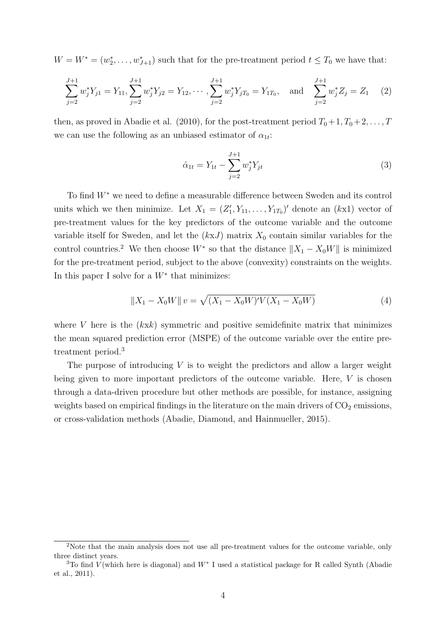$W = W^* = (w_2^*, \ldots, w_{J+1}^*)$  such that for the pre-treatment period  $t \leq T_0$  we have that:

$$
\sum_{j=2}^{J+1} w_j^* Y_{j1} = Y_{11}, \sum_{j=2}^{J+1} w_j^* Y_{j2} = Y_{12}, \cdots, \sum_{j=2}^{J+1} w_j^* Y_{jT_0} = Y_{1T_0}, \text{ and } \sum_{j=2}^{J+1} w_j^* Z_j = Z_1 \quad (2)
$$

then, as proved in Abadie et al. (2010), for the post-treatment period  $T_0+1, T_0+2, \ldots, T$ we can use the following as an unbiased estimator of  $\alpha_{1t}$ :

$$
\hat{\alpha}_{1t} = Y_{1t} - \sum_{j=2}^{J+1} w_j^* Y_{jt} \tag{3}
$$

To find W<sup>∗</sup> we need to define a measurable difference between Sweden and its control units which we then minimize. Let  $X_1 = (Z'_1, Y_{11}, \ldots, Y_{1T_0})'$  denote an  $(kx1)$  vector of pre-treatment values for the key predictors of the outcome variable and the outcome variable itself for Sweden, and let the  $(kxJ)$  matrix  $X_0$  contain similar variables for the control countries.<sup>2</sup> We then choose  $W^*$  so that the distance  $||X_1 - X_0W||$  is minimized for the pre-treatment period, subject to the above (convexity) constraints on the weights. In this paper I solve for a  $W^*$  that minimizes:

$$
||X_1 - X_0 W|| = \sqrt{(X_1 - X_0 W)'V(X_1 - X_0 W)} \tag{4}
$$

where V here is the  $(kx k)$  symmetric and positive semidefinite matrix that minimizes the mean squared prediction error (MSPE) of the outcome variable over the entire pretreatment period.<sup>3</sup>

The purpose of introducing  $V$  is to weight the predictors and allow a larger weight being given to more important predictors of the outcome variable. Here, V is chosen through a data-driven procedure but other methods are possible, for instance, assigning weights based on empirical findings in the literature on the main drivers of  $CO<sub>2</sub>$  emissions, or cross-validation methods (Abadie, Diamond, and Hainmueller, 2015).

<sup>2</sup>Note that the main analysis does not use all pre-treatment values for the outcome variable, only three distinct years.

<sup>&</sup>lt;sup>3</sup>To find V(which here is diagonal) and  $W^*$  I used a statistical package for R called Synth (Abadie et al., 2011).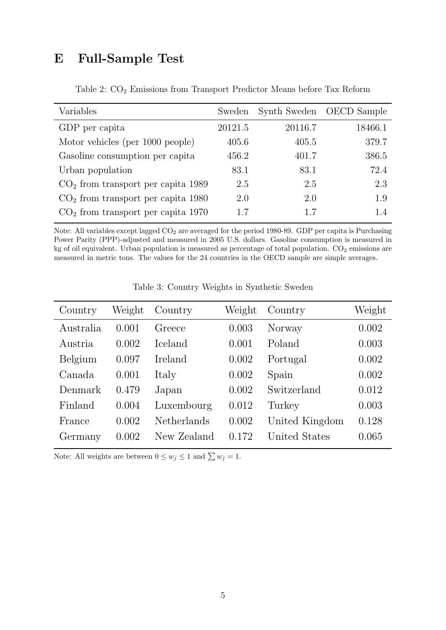## E Full-Sample Test

| Variables                            | Sweden  |         | Synth Sweden OECD Sample |
|--------------------------------------|---------|---------|--------------------------|
| GDP per capita                       | 20121.5 | 20116.7 | 18466.1                  |
| Motor vehicles (per 1000 people)     | 405.6   | 405.5   | 379.7                    |
| Gasoline consumption per capita      | 456.2   | 401.7   | 386.5                    |
| Urban population                     | 83.1    | 83.1    | 72.4                     |
| $CO2$ from transport per capita 1989 | 2.5     | 2.5     | 2.3                      |
| $CO2$ from transport per capita 1980 | 2.0     | 2.0     | 1.9                      |
| $CO2$ from transport per capita 1970 | 17      | 17      | 1.4                      |

Table 2: CO<sup>2</sup> Emissions from Transport Predictor Means before Tax Reform

Note: All variables except lagged  $CO_2$  are averaged for the period 1980-89. GDP per capita is Purchasing Power Parity (PPP)-adjusted and measured in 2005 U.S. dollars. Gasoline consumption is measured in kg of oil equivalent. Urban population is measured as percentage of total population.  $CO<sub>2</sub>$  emissions are measured in metric tons. The values for the 24 countries in the OECD sample are simple averages.

| Country   | Weight | Country        | Weight | Country        | Weight |
|-----------|--------|----------------|--------|----------------|--------|
| Australia | 0.001  | Greece         | 0.003  | Norway         | 0.002  |
| Austria   | 0.002  | <b>Iceland</b> | 0.001  | Poland         | 0.003  |
| Belgium   | 0.097  | Ireland        | 0.002  | Portugal       | 0.002  |
| Canada    | 0.001  | Italy          | 0.002  | Spain          | 0.002  |
| Denmark   | 0.479  | Japan          | 0.002  | Switzerland    | 0.012  |
| Finland   | 0.004  | Luxembourg     | 0.012  | Turkey         | 0.003  |
| France    | 0.002  | Netherlands    | 0.002  | United Kingdom | 0.128  |
| Germany   | 0.002  | New Zealand    | 0.172  | United States  | 0.065  |

Table 3: Country Weights in Synthetic Sweden

Note: All weights are between  $0 \leq w_j \leq 1$  and  $\sum w_j = 1$ .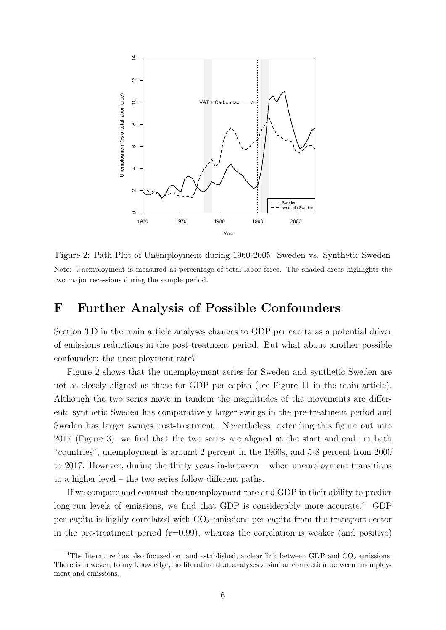

Figure 2: Path Plot of Unemployment during 1960-2005: Sweden vs. Synthetic Sweden Note: Unemployment is measured as percentage of total labor force. The shaded areas highlights the two major recessions during the sample period.

#### F Further Analysis of Possible Confounders

Section 3.D in the main article analyses changes to GDP per capita as a potential driver of emissions reductions in the post-treatment period. But what about another possible confounder: the unemployment rate?

Figure 2 shows that the unemployment series for Sweden and synthetic Sweden are not as closely aligned as those for GDP per capita (see Figure 11 in the main article). Although the two series move in tandem the magnitudes of the movements are different: synthetic Sweden has comparatively larger swings in the pre-treatment period and Sweden has larger swings post-treatment. Nevertheless, extending this figure out into 2017 (Figure 3), we find that the two series are aligned at the start and end: in both "countries", unemployment is around 2 percent in the 1960s, and 5-8 percent from 2000 to 2017. However, during the thirty years in-between – when unemployment transitions to a higher level – the two series follow different paths.

If we compare and contrast the unemployment rate and GDP in their ability to predict long-run levels of emissions, we find that GDP is considerably more accurate.<sup>4</sup> GDP per capita is highly correlated with  $CO<sub>2</sub>$  emissions per capita from the transport sector in the pre-treatment period  $(r=0.99)$ , whereas the correlation is weaker (and positive)

<sup>&</sup>lt;sup>4</sup>The literature has also focused on, and established, a clear link between GDP and  $CO_2$  emissions. There is however, to my knowledge, no literature that analyses a similar connection between unemployment and emissions.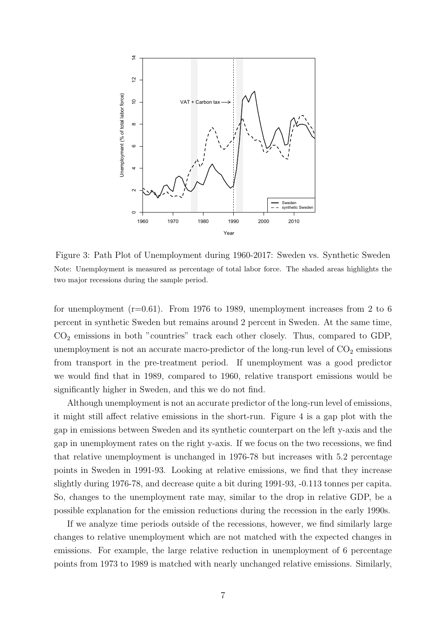

Figure 3: Path Plot of Unemployment during 1960-2017: Sweden vs. Synthetic Sweden Note: Unemployment is measured as percentage of total labor force. The shaded areas highlights the two major recessions during the sample period.

for unemployment  $(r=0.61)$ . From 1976 to 1989, unemployment increases from 2 to 6 percent in synthetic Sweden but remains around 2 percent in Sweden. At the same time,  $CO<sub>2</sub>$  emissions in both "countries" track each other closely. Thus, compared to GDP, unemployment is not an accurate macro-predictor of the long-run level of  $CO<sub>2</sub>$  emissions from transport in the pre-treatment period. If unemployment was a good predictor we would find that in 1989, compared to 1960, relative transport emissions would be significantly higher in Sweden, and this we do not find.

Although unemployment is not an accurate predictor of the long-run level of emissions, it might still affect relative emissions in the short-run. Figure 4 is a gap plot with the gap in emissions between Sweden and its synthetic counterpart on the left y-axis and the gap in unemployment rates on the right y-axis. If we focus on the two recessions, we find that relative unemployment is unchanged in 1976-78 but increases with 5.2 percentage points in Sweden in 1991-93. Looking at relative emissions, we find that they increase slightly during 1976-78, and decrease quite a bit during 1991-93, -0.113 tonnes per capita. So, changes to the unemployment rate may, similar to the drop in relative GDP, be a possible explanation for the emission reductions during the recession in the early 1990s.

If we analyze time periods outside of the recessions, however, we find similarly large changes to relative unemployment which are not matched with the expected changes in emissions. For example, the large relative reduction in unemployment of 6 percentage points from 1973 to 1989 is matched with nearly unchanged relative emissions. Similarly,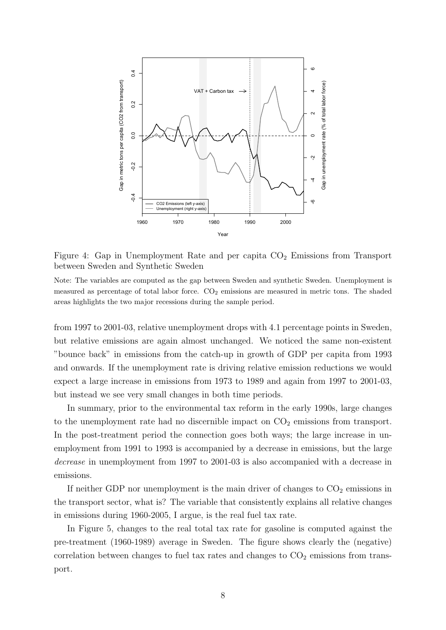

Figure 4: Gap in Unemployment Rate and per capita  $CO<sub>2</sub>$  Emissions from Transport between Sweden and Synthetic Sweden

Note: The variables are computed as the gap between Sweden and synthetic Sweden. Unemployment is measured as percentage of total labor force.  $CO<sub>2</sub>$  emissions are measured in metric tons. The shaded areas highlights the two major recessions during the sample period.

from 1997 to 2001-03, relative unemployment drops with 4.1 percentage points in Sweden, but relative emissions are again almost unchanged. We noticed the same non-existent "bounce back" in emissions from the catch-up in growth of GDP per capita from 1993 and onwards. If the unemployment rate is driving relative emission reductions we would expect a large increase in emissions from 1973 to 1989 and again from 1997 to 2001-03, but instead we see very small changes in both time periods.

In summary, prior to the environmental tax reform in the early 1990s, large changes to the unemployment rate had no discernible impact on  $CO<sub>2</sub>$  emissions from transport. In the post-treatment period the connection goes both ways; the large increase in unemployment from 1991 to 1993 is accompanied by a decrease in emissions, but the large decrease in unemployment from 1997 to 2001-03 is also accompanied with a decrease in emissions.

If neither GDP nor unemployment is the main driver of changes to  $CO<sub>2</sub>$  emissions in the transport sector, what is? The variable that consistently explains all relative changes in emissions during 1960-2005, I argue, is the real fuel tax rate.

In Figure 5, changes to the real total tax rate for gasoline is computed against the pre-treatment (1960-1989) average in Sweden. The figure shows clearly the (negative) correlation between changes to fuel tax rates and changes to  $CO<sub>2</sub>$  emissions from transport.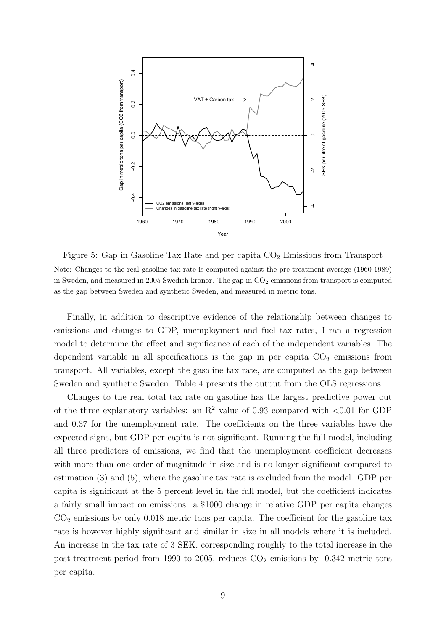

Figure 5: Gap in Gasoline Tax Rate and per capita  $CO<sub>2</sub>$  Emissions from Transport Note: Changes to the real gasoline tax rate is computed against the pre-treatment average (1960-1989) in Sweden, and measured in 2005 Swedish kronor. The gap in  $CO<sub>2</sub>$  emissions from transport is computed as the gap between Sweden and synthetic Sweden, and measured in metric tons.

Finally, in addition to descriptive evidence of the relationship between changes to emissions and changes to GDP, unemployment and fuel tax rates, I ran a regression model to determine the effect and significance of each of the independent variables. The dependent variable in all specifications is the gap in per capita  $CO<sub>2</sub>$  emissions from transport. All variables, except the gasoline tax rate, are computed as the gap between Sweden and synthetic Sweden. Table 4 presents the output from the OLS regressions.

Changes to the real total tax rate on gasoline has the largest predictive power out of the three explanatory variables: an  $R^2$  value of 0.93 compared with  $\langle 0.01 \rangle$  for GDP and 0.37 for the unemployment rate. The coefficients on the three variables have the expected signs, but GDP per capita is not significant. Running the full model, including all three predictors of emissions, we find that the unemployment coefficient decreases with more than one order of magnitude in size and is no longer significant compared to estimation (3) and (5), where the gasoline tax rate is excluded from the model. GDP per capita is significant at the 5 percent level in the full model, but the coefficient indicates a fairly small impact on emissions: a \$1000 change in relative GDP per capita changes  $CO<sub>2</sub>$  emissions by only 0.018 metric tons per capita. The coefficient for the gasoline tax rate is however highly significant and similar in size in all models where it is included. An increase in the tax rate of 3 SEK, corresponding roughly to the total increase in the post-treatment period from 1990 to 2005, reduces  $CO<sub>2</sub>$  emissions by -0.342 metric tons per capita.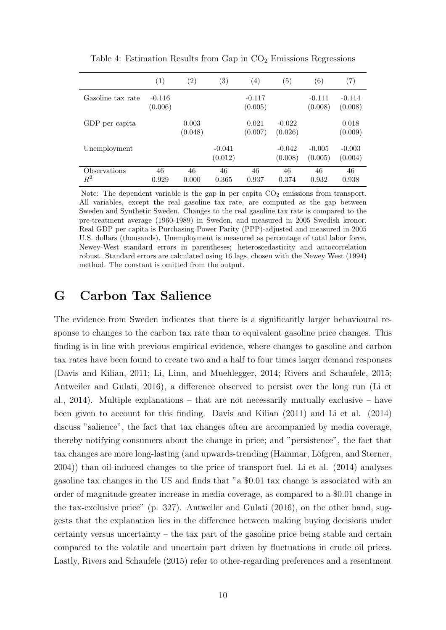|                         | (1)                 | $\left( 2\right)$ | $\left( 3\right)$   | $\left(4\right)$    | $\left(5\right)$    | (6)                 | $\left( 7\right)$   |
|-------------------------|---------------------|-------------------|---------------------|---------------------|---------------------|---------------------|---------------------|
| Gasoline tax rate       | $-0.116$<br>(0.006) |                   |                     | $-0.117$<br>(0.005) |                     | $-0.111$<br>(0.008) | $-0.114$<br>(0.008) |
| GDP per capita          |                     | 0.003<br>(0.048)  |                     | 0.021<br>(0.007)    | $-0.022$<br>(0.026) |                     | 0.018<br>(0.009)    |
| Unemployment            |                     |                   | $-0.041$<br>(0.012) |                     | $-0.042$<br>(0.008) | $-0.005$<br>(0.005) | $-0.003$<br>(0.004) |
| Observations<br>$\,R^2$ | 46<br>0.929         | 46<br>0.000       | 46<br>0.365         | 46<br>0.937         | 46<br>0.374         | 46<br>0.932         | 46<br>0.938         |

Table 4: Estimation Results from Gap in  $CO<sub>2</sub>$  Emissions Regressions

Note: The dependent variable is the gap in per capita  $CO<sub>2</sub>$  emissions from transport. All variables, except the real gasoline tax rate, are computed as the gap between Sweden and Synthetic Sweden. Changes to the real gasoline tax rate is compared to the pre-treatment average (1960-1989) in Sweden, and measured in 2005 Swedish kronor. Real GDP per capita is Purchasing Power Parity (PPP)-adjusted and measured in 2005 U.S. dollars (thousands). Unemployment is measured as percentage of total labor force. Newey-West standard errors in parentheses; heteroscedasticity and autocorrelation robust. Standard errors are calculated using 16 lags, chosen with the Newey West (1994) method. The constant is omitted from the output.

#### G Carbon Tax Salience

The evidence from Sweden indicates that there is a significantly larger behavioural response to changes to the carbon tax rate than to equivalent gasoline price changes. This finding is in line with previous empirical evidence, where changes to gasoline and carbon tax rates have been found to create two and a half to four times larger demand responses (Davis and Kilian, 2011; Li, Linn, and Muehlegger, 2014; Rivers and Schaufele, 2015; Antweiler and Gulati, 2016), a difference observed to persist over the long run (Li et al., 2014). Multiple explanations – that are not necessarily mutually exclusive – have been given to account for this finding. Davis and Kilian (2011) and Li et al. (2014) discuss "salience", the fact that tax changes often are accompanied by media coverage, thereby notifying consumers about the change in price; and "persistence", the fact that tax changes are more long-lasting (and upwards-trending (Hammar, Löfgren, and Sterner, 2004)) than oil-induced changes to the price of transport fuel. Li et al. (2014) analyses gasoline tax changes in the US and finds that "a \$0.01 tax change is associated with an order of magnitude greater increase in media coverage, as compared to a \$0.01 change in the tax-exclusive price" (p. 327). Antweiler and Gulati (2016), on the other hand, suggests that the explanation lies in the difference between making buying decisions under certainty versus uncertainty – the tax part of the gasoline price being stable and certain compared to the volatile and uncertain part driven by fluctuations in crude oil prices. Lastly, Rivers and Schaufele (2015) refer to other-regarding preferences and a resentment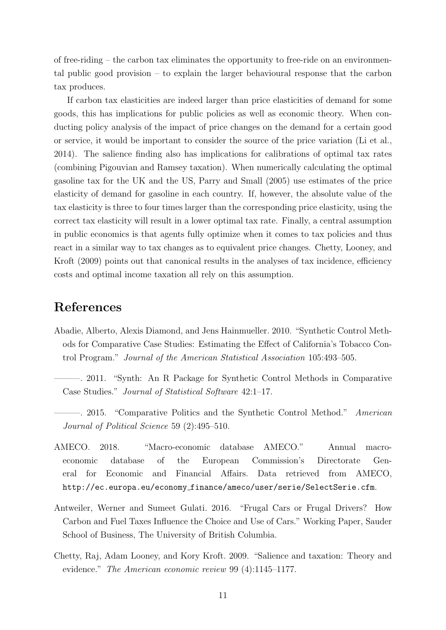of free-riding – the carbon tax eliminates the opportunity to free-ride on an environmental public good provision – to explain the larger behavioural response that the carbon tax produces.

If carbon tax elasticities are indeed larger than price elasticities of demand for some goods, this has implications for public policies as well as economic theory. When conducting policy analysis of the impact of price changes on the demand for a certain good or service, it would be important to consider the source of the price variation (Li et al., 2014). The salience finding also has implications for calibrations of optimal tax rates (combining Pigouvian and Ramsey taxation). When numerically calculating the optimal gasoline tax for the UK and the US, Parry and Small (2005) use estimates of the price elasticity of demand for gasoline in each country. If, however, the absolute value of the tax elasticity is three to four times larger than the corresponding price elasticity, using the correct tax elasticity will result in a lower optimal tax rate. Finally, a central assumption in public economics is that agents fully optimize when it comes to tax policies and thus react in a similar way to tax changes as to equivalent price changes. Chetty, Looney, and Kroft (2009) points out that canonical results in the analyses of tax incidence, efficiency costs and optimal income taxation all rely on this assumption.

#### References

- Abadie, Alberto, Alexis Diamond, and Jens Hainmueller. 2010. "Synthetic Control Methods for Comparative Case Studies: Estimating the Effect of California's Tobacco Control Program." Journal of the American Statistical Association 105:493–505.
- ———. 2011. "Synth: An R Package for Synthetic Control Methods in Comparative Case Studies." Journal of Statistical Software 42:1–17.
- ———. 2015. "Comparative Politics and the Synthetic Control Method." American Journal of Political Science 59 (2):495–510.
- AMECO. 2018. "Macro-economic database AMECO." Annual macroeconomic database of the European Commission's Directorate General for Economic and Financial Affairs. Data retrieved from AMECO, http://ec.europa.eu/economy finance/ameco/user/serie/SelectSerie.cfm.
- Antweiler, Werner and Sumeet Gulati. 2016. "Frugal Cars or Frugal Drivers? How Carbon and Fuel Taxes Influence the Choice and Use of Cars." Working Paper, Sauder School of Business, The University of British Columbia.
- Chetty, Raj, Adam Looney, and Kory Kroft. 2009. "Salience and taxation: Theory and evidence." The American economic review 99 (4):1145–1177.